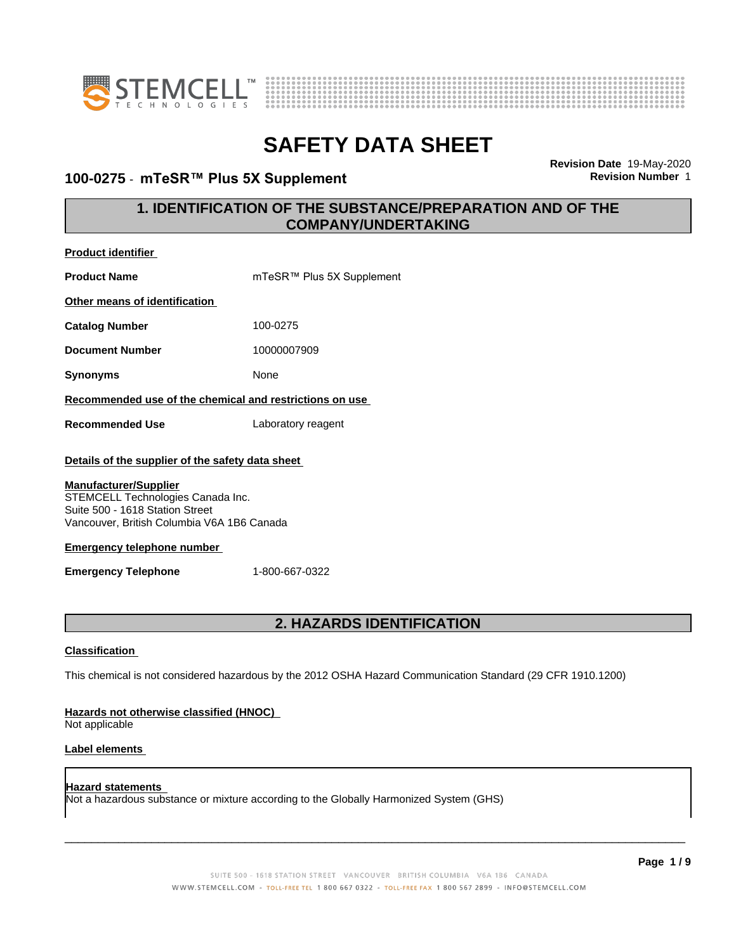



## **100-0275 · mTeSR™ Plus 5X Supplement**

**Revision Date** 19-May-2020

## **1. IDENTIFICATION OF THE SUBSTANCE/PREPARATION AND OF THE COMPANY/UNDERTAKING**

| Product identifier                                                                                                                                                                                                                                                                          |                                                                                                             |  |  |
|---------------------------------------------------------------------------------------------------------------------------------------------------------------------------------------------------------------------------------------------------------------------------------------------|-------------------------------------------------------------------------------------------------------------|--|--|
| <b>Product Name</b>                                                                                                                                                                                                                                                                         | mTeSR™ Plus 5X Supplement                                                                                   |  |  |
| Other means of identification                                                                                                                                                                                                                                                               |                                                                                                             |  |  |
| <b>Catalog Number</b>                                                                                                                                                                                                                                                                       | 100-0275                                                                                                    |  |  |
| <b>Document Number</b>                                                                                                                                                                                                                                                                      | 10000007909                                                                                                 |  |  |
| <b>Synonyms</b>                                                                                                                                                                                                                                                                             | None                                                                                                        |  |  |
| Recommended use of the chemical and restrictions on use                                                                                                                                                                                                                                     |                                                                                                             |  |  |
| <b>Recommended Use</b>                                                                                                                                                                                                                                                                      | Laboratory reagent                                                                                          |  |  |
| Details of the supplier of the safety data sheet<br><b>Manufacturer/Supplier</b><br>STEMCELL Technologies Canada Inc.<br>Suite 500 - 1618 Station Street<br>Vancouver, British Columbia V6A 1B6 Canada<br><b>Emergency telephone number</b><br><b>Emergency Telephone</b><br>1-800-667-0322 |                                                                                                             |  |  |
| 2. HAZARDS IDENTIFICATION                                                                                                                                                                                                                                                                   |                                                                                                             |  |  |
| Classification<br>Hazards not otherwise classified (HNOC)                                                                                                                                                                                                                                   | This chemical is not considered hazardous by the 2012 OSHA Hazard Communication Standard (29 CFR 1910.1200) |  |  |

Not applicable

### **Label elements**

### **Hazard statements** Not a hazardous substance or mixture according to the Globally Harmonized System (GHS)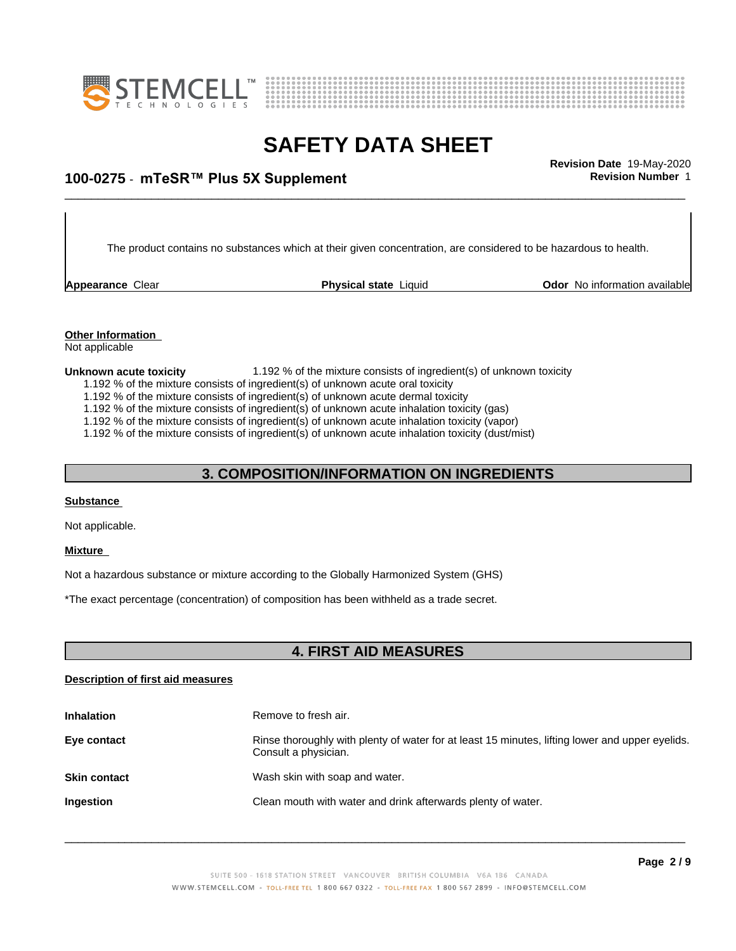



## \_\_\_\_\_\_\_\_\_\_\_\_\_\_\_\_\_\_\_\_\_\_\_\_\_\_\_\_\_\_\_\_\_\_\_\_\_\_\_\_\_\_\_\_\_\_\_\_\_\_\_\_\_\_\_\_\_\_\_\_\_\_\_\_\_\_\_\_\_\_\_\_\_\_\_\_\_\_\_\_\_\_\_\_\_\_\_\_\_\_\_\_\_ **Revision Date** 19-May-2020 **100-0275 ⋅ mTeSR™ Plus 5X Supplement Revision Revision** Number 1

The product contains no substances which at their given concentration, are considered to be hazardous to health.

**Appearance Clear <b>Physical state** Liquid

**Odor** No information available

## **Other Information**

Not applicable

- **Unknown acute toxicity** 1.192 % of the mixture consists of ingredient(s) of unknown toxicity
	- 1.192 % of the mixture consists of ingredient(s) of unknown acute oral toxicity
	- 1.192 % of the mixture consists of ingredient(s) of unknown acute dermal toxicity
	- 1.192 % of the mixture consists of ingredient(s) of unknown acute inhalation toxicity (gas)
	- 1.192 % of the mixture consists of ingredient(s) of unknown acute inhalation toxicity (vapor)

1.192 % of the mixture consists of ingredient(s) of unknown acute inhalation toxicity (dust/mist)

## **3. COMPOSITION/INFORMATION ON INGREDIENTS**

### **Substance**

Not applicable.

### **Mixture**

Not a hazardous substance or mixture according to the Globally Harmonized System (GHS)

\*The exact percentage (concentration) of composition has been withheld as a trade secret.

## **4. FIRST AID MEASURES**

### **Description of first aid measures**

| <b>Inhalation</b>   | Remove to fresh air.                                                                                                    |
|---------------------|-------------------------------------------------------------------------------------------------------------------------|
| Eye contact         | Rinse thoroughly with plenty of water for at least 15 minutes, lifting lower and upper eyelids.<br>Consult a physician. |
| <b>Skin contact</b> | Wash skin with soap and water.                                                                                          |
| <b>Ingestion</b>    | Clean mouth with water and drink afterwards plenty of water.                                                            |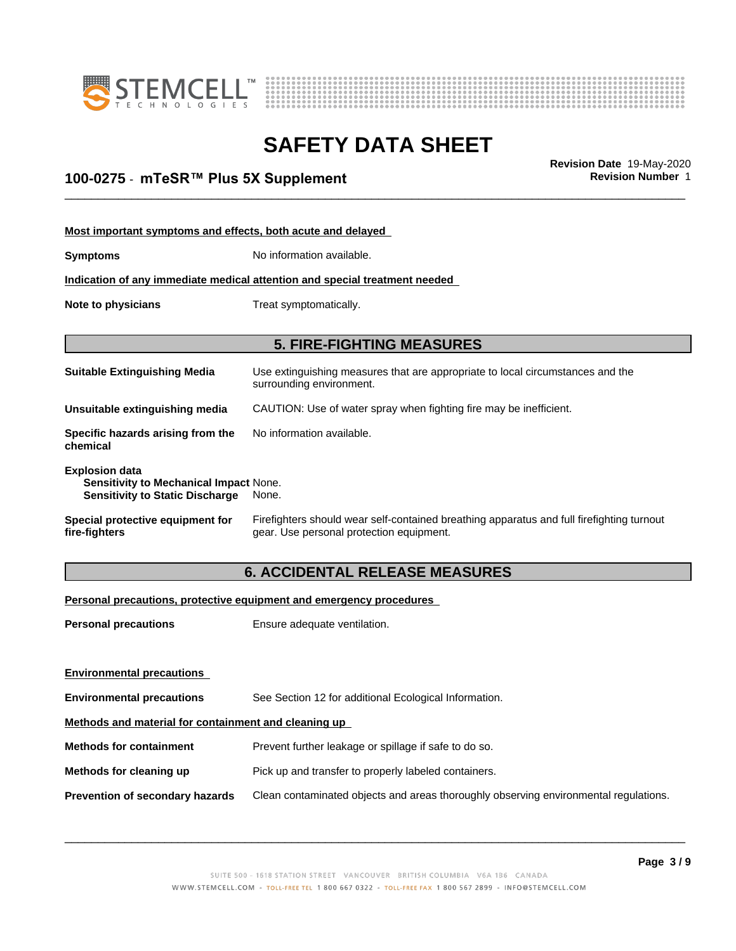



# **SAFETY DATA SHEET**<br>Revision Date 19-May-2020

## \_\_\_\_\_\_\_\_\_\_\_\_\_\_\_\_\_\_\_\_\_\_\_\_\_\_\_\_\_\_\_\_\_\_\_\_\_\_\_\_\_\_\_\_\_\_\_\_\_\_\_\_\_\_\_\_\_\_\_\_\_\_\_\_\_\_\_\_\_\_\_\_\_\_\_\_\_\_\_\_\_\_\_\_\_\_\_\_\_\_\_\_\_ **Revision Date** 19-May-2020 **100-0275 ⋅ mTeSR™ Plus 5X Supplement Revision Revision** Number 1

| Most important symptoms and effects, both acute and delayed                                               |                                                                                                                                       |  |  |
|-----------------------------------------------------------------------------------------------------------|---------------------------------------------------------------------------------------------------------------------------------------|--|--|
| <b>Symptoms</b>                                                                                           | No information available.                                                                                                             |  |  |
|                                                                                                           | Indication of any immediate medical attention and special treatment needed                                                            |  |  |
| Note to physicians                                                                                        | Treat symptomatically.                                                                                                                |  |  |
|                                                                                                           | <b>5. FIRE-FIGHTING MEASURES</b>                                                                                                      |  |  |
| <b>Suitable Extinguishing Media</b>                                                                       | Use extinguishing measures that are appropriate to local circumstances and the<br>surrounding environment.                            |  |  |
| Unsuitable extinguishing media                                                                            | CAUTION: Use of water spray when fighting fire may be inefficient.                                                                    |  |  |
| Specific hazards arising from the<br>chemical                                                             | No information available.                                                                                                             |  |  |
| <b>Explosion data</b><br>Sensitivity to Mechanical Impact None.<br><b>Sensitivity to Static Discharge</b> | None.                                                                                                                                 |  |  |
| Special protective equipment for<br>fire-fighters                                                         | Firefighters should wear self-contained breathing apparatus and full firefighting turnout<br>gear. Use personal protection equipment. |  |  |
|                                                                                                           | <b>6. ACCIDENTAL RELEASE MEASURES</b>                                                                                                 |  |  |

## **Personal precautions, protective equipment and emergency procedures**

| <b>Personal precautions</b>                          | Ensure adequate ventilation.                                                         |  |
|------------------------------------------------------|--------------------------------------------------------------------------------------|--|
| <b>Environmental precautions</b>                     |                                                                                      |  |
|                                                      |                                                                                      |  |
| <b>Environmental precautions</b>                     | See Section 12 for additional Ecological Information.                                |  |
| Methods and material for containment and cleaning up |                                                                                      |  |
| <b>Methods for containment</b>                       | Prevent further leakage or spillage if safe to do so.                                |  |
| Methods for cleaning up                              | Pick up and transfer to properly labeled containers.                                 |  |
| <b>Prevention of secondary hazards</b>               | Clean contaminated objects and areas thoroughly observing environmental regulations. |  |
|                                                      |                                                                                      |  |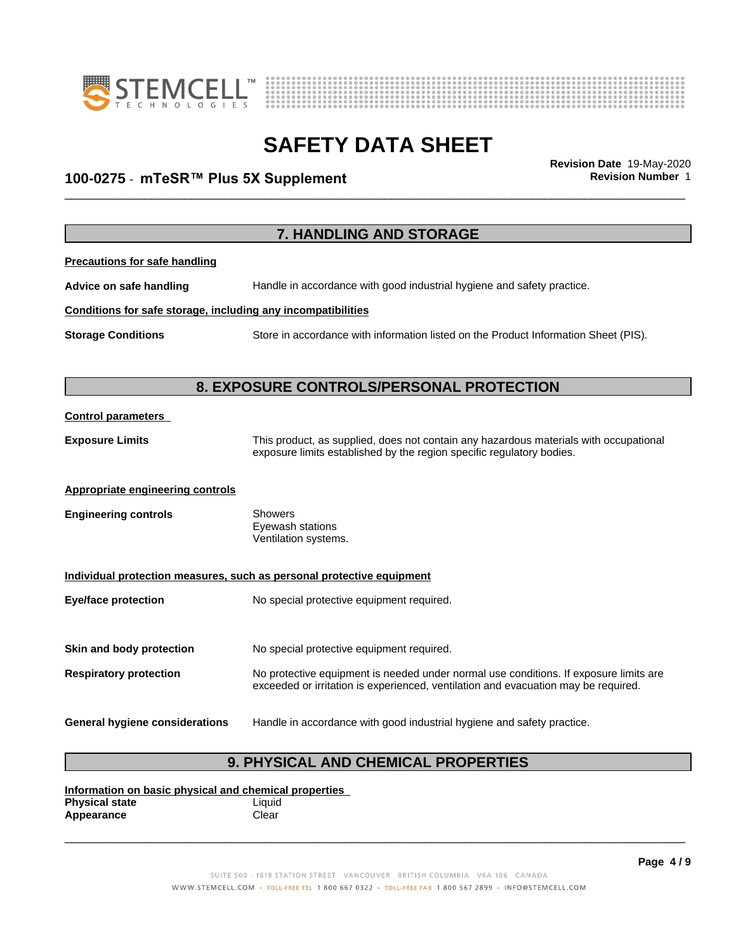



## \_\_\_\_\_\_\_\_\_\_\_\_\_\_\_\_\_\_\_\_\_\_\_\_\_\_\_\_\_\_\_\_\_\_\_\_\_\_\_\_\_\_\_\_\_\_\_\_\_\_\_\_\_\_\_\_\_\_\_\_\_\_\_\_\_\_\_\_\_\_\_\_\_\_\_\_\_\_\_\_\_\_\_\_\_\_\_\_\_\_\_\_\_ **Revision Date** 19-May-2020 **100-0275 ⋅ mTeSR™ Plus 5X Supplement Revision Revision** Number 1

| 7. HANDLING AND STORAGE                                      |                                                                                                                                                                |  |
|--------------------------------------------------------------|----------------------------------------------------------------------------------------------------------------------------------------------------------------|--|
| <b>Precautions for safe handling</b>                         |                                                                                                                                                                |  |
| Advice on safe handling                                      | Handle in accordance with good industrial hygiene and safety practice.                                                                                         |  |
| Conditions for safe storage, including any incompatibilities |                                                                                                                                                                |  |
| <b>Storage Conditions</b>                                    | Store in accordance with information listed on the Product Information Sheet (PIS).                                                                            |  |
|                                                              |                                                                                                                                                                |  |
|                                                              | 8. EXPOSURE CONTROLS/PERSONAL PROTECTION                                                                                                                       |  |
| <b>Control parameters</b>                                    |                                                                                                                                                                |  |
| <b>Exposure Limits</b>                                       | This product, as supplied, does not contain any hazardous materials with occupational<br>exposure limits established by the region specific regulatory bodies. |  |
| <b>Appropriate engineering controls</b>                      |                                                                                                                                                                |  |
| <b>Engineering controls</b>                                  | <b>Showers</b><br>Eyewash stations<br>Ventilation systems.                                                                                                     |  |
|                                                              | Individual protection measures, such as personal protective equipment                                                                                          |  |
| <b>Eye/face protection</b>                                   | No special protective equipment required.                                                                                                                      |  |
| Skin and body protection                                     | No special protective equipment required.                                                                                                                      |  |
| <b>Respiratory protection</b>                                | No protective equipment is needed under normal use conditions. If exposure limits are                                                                          |  |
|                                                              | exceeded or irritation is experienced, ventilation and evacuation may be required.                                                                             |  |
| <b>General hygiene considerations</b>                        | Handle in accordance with good industrial hygiene and safety practice.                                                                                         |  |
| <b>9. PHYSICAL AND CHEMICAL PROPERTIES</b>                   |                                                                                                                                                                |  |

**Information on basic physical and chemical properties Physical state** Liquid Appearance **Clear**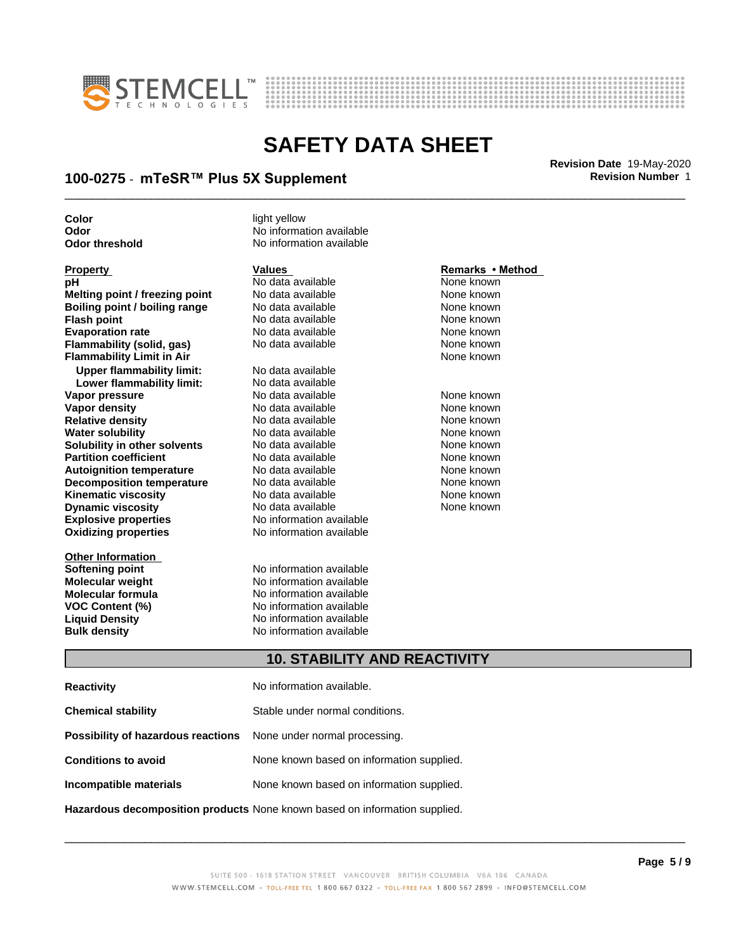



## \_\_\_\_\_\_\_\_\_\_\_\_\_\_\_\_\_\_\_\_\_\_\_\_\_\_\_\_\_\_\_\_\_\_\_\_\_\_\_\_\_\_\_\_\_\_\_\_\_\_\_\_\_\_\_\_\_\_\_\_\_\_\_\_\_\_\_\_\_\_\_\_\_\_\_\_\_\_\_\_\_\_\_\_\_\_\_\_\_\_\_\_\_ **Revision Date** 19-May-2020 **100-0275 ⋅ mTeSR™ Plus 5X Supplement Revision Revision** Number 1

**Color** light yellow

**Explosive properties** No information available **Oxidizing properties** No information available **pH** No data available None known<br> **Melting point / freezing point** No data available None Known **Melting point / freezing point** No data available None known **Boiling point / boiling range No data available None known Flash point** No data available None known **Evaporation rate Reserve State State Additional None Convention Cone Control of the None known**<br> **Flammability (solid. gas)** No data available **None Known Flammability (solid, gas)** No data available None known<br> **Flammability Limit in Air** None Known **Flammability Limit in Air Upper flammability limit:** No data available **Lower flammability limit:** No data available **Vapor pressure No data available and the None known**<br> **Vapor density No data available None known**<br>
No data available **None known Vapor density** No data available **Relative density No data available None known**<br> **Water solubility No data available None known**<br>
No data available **Water solubility <br>
<b>Water solubility n** other **solvents** Modata available **None known**<br>
None known **Solubility in other solvents** No data available<br> **Partition coefficient** No data available **Partition coefficient**<br> **Autoignition temperature**<br>
No data available None Known None known **Autoignition temperature No data available None known**<br> **Decomposition temperature** No data available **None known**<br>
None known **Decomposition temperature** No data available **None known**<br> **Kinematic viscosity** No data available None known **Kinematic viscosity**<br> **Contains the Containst Contains and Dividing the Contains Property Connect Contains the None known**<br>
No data available Connect None known **Dynamic viscosity** 

**Other Information Softening point No information available**<br> **Molecular weight No information available Molecular formula**<br>**VOC Content (%)** 

**Odor** No information available **Odor threshold** No information available

**Molecular weight Molecular in the Solution Available Molecular formula Molecular formula Molecular Solution No** information available **VOC Content (%)** No information available **Liquid Density** No information available **Bulk density** No information available

## **Property Remarks •Method Values Remarks** •Method

None known

## **10. STABILITY AND REACTIVITY**

| <b>Reactivity</b>                                                       | No information available.                 |
|-------------------------------------------------------------------------|-------------------------------------------|
| <b>Chemical stability</b>                                               | Stable under normal conditions.           |
| <b>Possibility of hazardous reactions</b> None under normal processing. |                                           |
| <b>Conditions to avoid</b>                                              | None known based on information supplied. |
| Incompatible materials                                                  | None known based on information supplied. |
|                                                                         |                                           |

**Hazardous decomposition products** None known based on information supplied.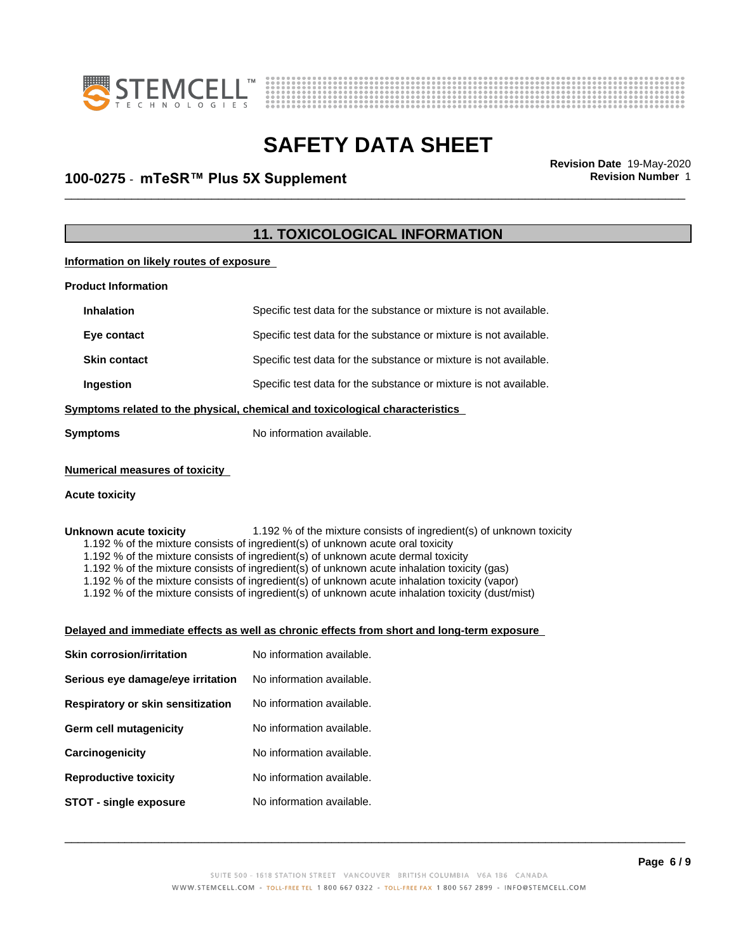



## \_\_\_\_\_\_\_\_\_\_\_\_\_\_\_\_\_\_\_\_\_\_\_\_\_\_\_\_\_\_\_\_\_\_\_\_\_\_\_\_\_\_\_\_\_\_\_\_\_\_\_\_\_\_\_\_\_\_\_\_\_\_\_\_\_\_\_\_\_\_\_\_\_\_\_\_\_\_\_\_\_\_\_\_\_\_\_\_\_\_\_\_\_ **Revision Date** 19-May-2020 **100-0275 ⋅ mTeSR™ Plus 5X Supplement Revision Revision** Number 1

## **11. TOXICOLOGICAL INFORMATION**

**Information on likely routes of exposure**

| <b>Product Information</b>                                                   |                                                                   |  |
|------------------------------------------------------------------------------|-------------------------------------------------------------------|--|
| <b>Inhalation</b>                                                            | Specific test data for the substance or mixture is not available. |  |
| Eye contact                                                                  | Specific test data for the substance or mixture is not available. |  |
| <b>Skin contact</b>                                                          | Specific test data for the substance or mixture is not available. |  |
| Ingestion                                                                    | Specific test data for the substance or mixture is not available. |  |
| Symptoms related to the physical, chemical and toxicological characteristics |                                                                   |  |
| Symptoms                                                                     | No information available.                                         |  |
|                                                                              |                                                                   |  |

## **Numerical measures of toxicity**

### **Acute toxicity**

**Unknown acute toxicity** 1.192 % of the mixture consists of ingredient(s) of unknown toxicity

1.192 % of the mixture consists of ingredient(s) of unknown acute oral toxicity

1.192 % of the mixture consists of ingredient(s) of unknown acute dermal toxicity

1.192 % of the mixture consists of ingredient(s) of unknown acute inhalation toxicity (gas)

1.192 % of the mixture consists of ingredient(s) of unknown acute inhalation toxicity (vapor)

1.192 % of the mixture consists of ingredient(s) of unknown acute inhalation toxicity (dust/mist)

### **Delayed and immediate effects as well as chronic effects from short and long-term exposure**

| <b>Skin corrosion/irritation</b>  | No information available. |
|-----------------------------------|---------------------------|
| Serious eye damage/eye irritation | No information available. |
| Respiratory or skin sensitization | No information available. |
| Germ cell mutagenicity            | No information available. |
| Carcinogenicity                   | No information available. |
| <b>Reproductive toxicity</b>      | No information available. |
| STOT - single exposure            | No information available. |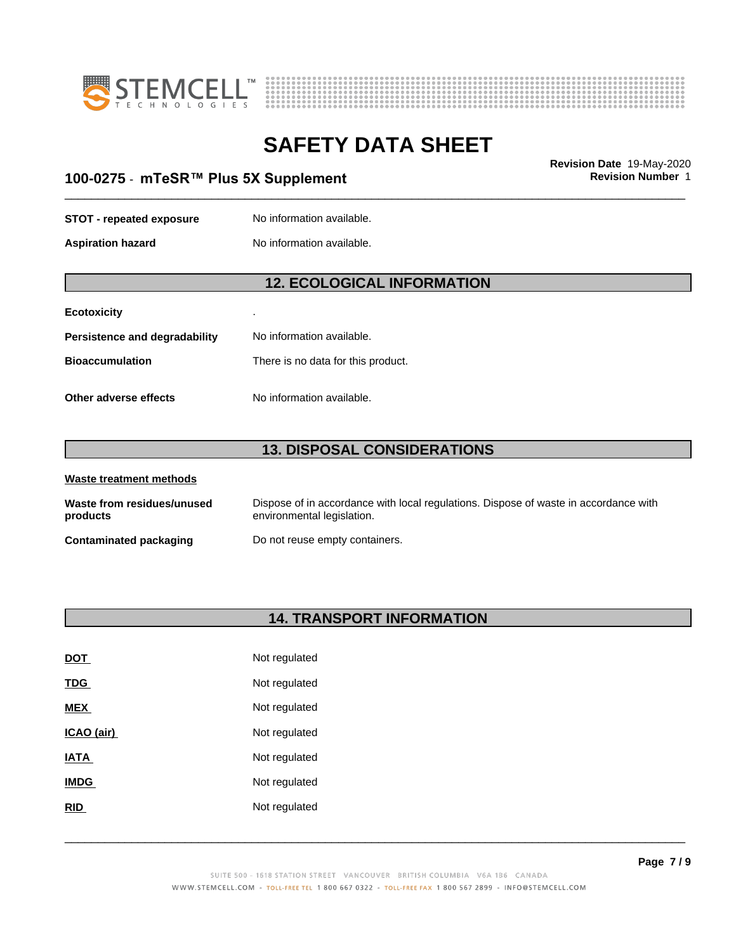



## \_\_\_\_\_\_\_\_\_\_\_\_\_\_\_\_\_\_\_\_\_\_\_\_\_\_\_\_\_\_\_\_\_\_\_\_\_\_\_\_\_\_\_\_\_\_\_\_\_\_\_\_\_\_\_\_\_\_\_\_\_\_\_\_\_\_\_\_\_\_\_\_\_\_\_\_\_\_\_\_\_\_\_\_\_\_\_\_\_\_\_\_\_ **Revision Date** 19-May-2020 **100-0275 ⋅ mTeSR™ Plus 5X Supplement Revision Revision** Number 1

### **STOT** - **repeated exposure** No information available.

**Aspiration hazard** No information available.

## **12. ECOLOGICAL INFORMATION**

## **Ecotoxicity** .

| Persistence and degradability | No information available.          |
|-------------------------------|------------------------------------|
| Bioaccumulation               | There is no data for this product. |
|                               |                                    |

**Other adverse effects** No information available.

## **13. DISPOSAL CONSIDERATIONS**

| Waste treatment methods                |                                                                                                                    |
|----------------------------------------|--------------------------------------------------------------------------------------------------------------------|
| Waste from residues/unused<br>products | Dispose of in accordance with local regulations. Dispose of waste in accordance with<br>environmental legislation. |
| Contaminated packaging                 | Do not reuse empty containers.                                                                                     |

## **14. TRANSPORT INFORMATION**

| <u>DOT</u>  | Not regulated |
|-------------|---------------|
| <u>TDG</u>  | Not regulated |
| <b>MEX</b>  | Not regulated |
| ICAO (air)  | Not regulated |
| IATA        | Not regulated |
| <b>IMDG</b> | Not regulated |
| <b>RID</b>  | Not regulated |
|             |               |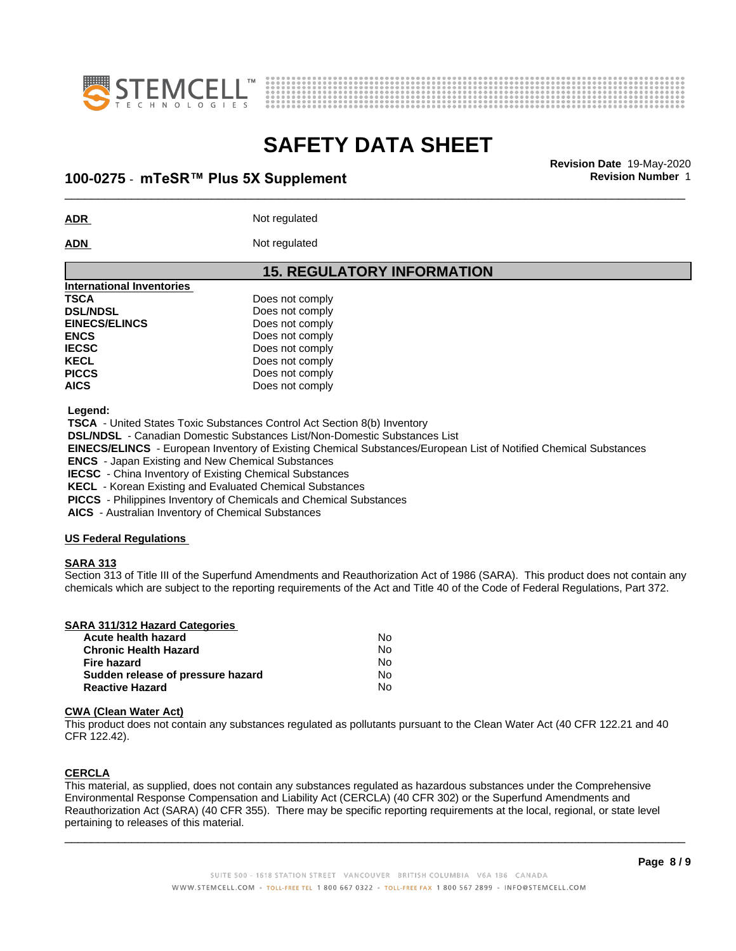



## \_\_\_\_\_\_\_\_\_\_\_\_\_\_\_\_\_\_\_\_\_\_\_\_\_\_\_\_\_\_\_\_\_\_\_\_\_\_\_\_\_\_\_\_\_\_\_\_\_\_\_\_\_\_\_\_\_\_\_\_\_\_\_\_\_\_\_\_\_\_\_\_\_\_\_\_\_\_\_\_\_\_\_\_\_\_\_\_\_\_\_\_\_ **Revision Date** 19-May-2020 **100-0275 ⋅ mTeSR™ Plus 5X Supplement Revision Revision** Number 1

**ADR** Not regulated

ADN Not regulated

## **15. REGULATORY INFORMATION**

| International Inventories |                 |  |
|---------------------------|-----------------|--|
| <b>TSCA</b>               | Does not comply |  |
| <b>DSL/NDSL</b>           | Does not comply |  |
| <b>EINECS/ELINCS</b>      | Does not comply |  |
| <b>ENCS</b>               | Does not comply |  |
| <b>IECSC</b>              | Does not comply |  |
| <b>KECL</b>               | Does not comply |  |
| <b>PICCS</b>              | Does not comply |  |
| <b>AICS</b>               | Does not comply |  |
|                           |                 |  |

 **Legend:**

 **TSCA** - United States Toxic Substances Control Act Section 8(b) Inventory

 **DSL/NDSL** - Canadian Domestic Substances List/Non-Domestic Substances List

 **EINECS/ELINCS** - European Inventory of Existing Chemical Substances/European List of Notified Chemical Substances

 **ENCS** - Japan Existing and New Chemical Substances

 **IECSC** - China Inventory of Existing Chemical Substances

 **KECL** - Korean Existing and Evaluated Chemical Substances

 **PICCS** - Philippines Inventory of Chemicals and Chemical Substances

 **AICS** - Australian Inventory of Chemical Substances

### **US Federal Regulations**

### **SARA 313**

Section 313 of Title III of the Superfund Amendments and Reauthorization Act of 1986 (SARA). This product does not contain any chemicals which are subject to the reporting requirements of the Act and Title 40 of the Code of Federal Regulations, Part 372.

|  | <b>SARA 311/312 Hazard Categories</b> |  |
|--|---------------------------------------|--|
|  |                                       |  |

| Acute health hazard               | No. |
|-----------------------------------|-----|
| <b>Chronic Health Hazard</b>      | No. |
| Fire hazard                       | N٥  |
| Sudden release of pressure hazard | No. |
| <b>Reactive Hazard</b>            | N٥  |

### **CWA** (Clean Water Act)

This product does not contain any substances regulated as pollutants pursuant to the Clean Water Act (40 CFR 122.21 and 40 CFR 122.42).

## **CERCLA**

This material, as supplied, does not contain any substances regulated as hazardous substances under the Comprehensive Environmental Response Compensation and Liability Act (CERCLA) (40 CFR 302) or the Superfund Amendments and Reauthorization Act (SARA) (40 CFR 355). There may be specific reporting requirements at the local, regional, or state level pertaining to releases of this material.